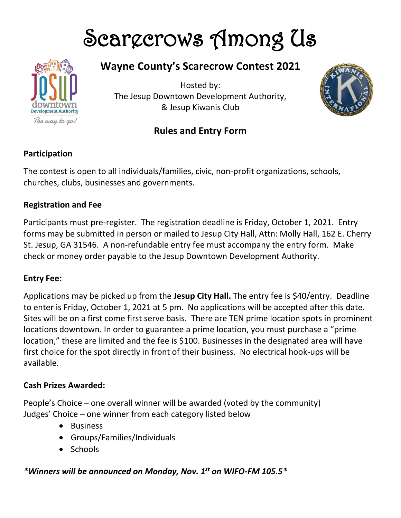# Scargerows Among Us



# **Wayne County's Scarecrow Contest 2021**

Hosted by: The Jesup Downtown Development Authority, & Jesup Kiwanis Club





# **Participation**

The contest is open to all individuals/families, civic, non-profit organizations, schools, churches, clubs, businesses and governments.

### **Registration and Fee**

Participants must pre-register. The registration deadline is Friday, October 1, 2021. Entry forms may be submitted in person or mailed to Jesup City Hall, Attn: Molly Hall, 162 E. Cherry St. Jesup, GA 31546. A non-refundable entry fee must accompany the entry form. Make check or money order payable to the Jesup Downtown Development Authority.

#### **Entry Fee:**

Applications may be picked up from the **Jesup City Hall.** The entry fee is \$40/entry. Deadline to enter is Friday, October 1, 2021 at 5 pm. No applications will be accepted after this date. Sites will be on a first come first serve basis. There are TEN prime location spots in prominent locations downtown. In order to guarantee a prime location, you must purchase a "prime location," these are limited and the fee is \$100. Businesses in the designated area will have first choice for the spot directly in front of their business. No electrical hook-ups will be available.

#### **Cash Prizes Awarded:**

People's Choice – one overall winner will be awarded (voted by the community) Judges' Choice – one winner from each category listed below

- Business
- Groups/Families/Individuals
- Schools

# *\*Winners will be announced on Monday, Nov. 1st on WIFO-FM 105.5\**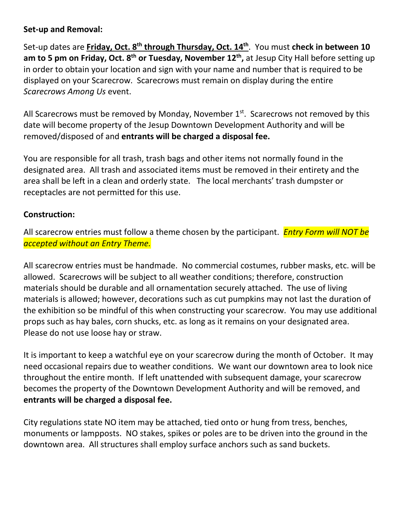#### **Set-up and Removal:**

Set-up dates are **Friday, Oct. 8th through Thursday, Oct. 14th**. You must **check in between 10 am to 5 pm on Friday, Oct. 8 th or Tuesday, November 12th ,** at Jesup City Hall before setting up in order to obtain your location and sign with your name and number that is required to be displayed on your Scarecrow. Scarecrows must remain on display during the entire *Scarecrows Among Us* event.

All Scarecrows must be removed by Monday, November  $1<sup>st</sup>$ . Scarecrows not removed by this date will become property of the Jesup Downtown Development Authority and will be removed/disposed of and **entrants will be charged a disposal fee.**

You are responsible for all trash, trash bags and other items not normally found in the designated area. All trash and associated items must be removed in their entirety and the area shall be left in a clean and orderly state. The local merchants' trash dumpster or receptacles are not permitted for this use.

#### **Construction:**

All scarecrow entries must follow a theme chosen by the participant. *Entry Form will NOT be accepted without an Entry Theme.*

All scarecrow entries must be handmade. No commercial costumes, rubber masks, etc. will be allowed. Scarecrows will be subject to all weather conditions; therefore, construction materials should be durable and all ornamentation securely attached. The use of living materials is allowed; however, decorations such as cut pumpkins may not last the duration of the exhibition so be mindful of this when constructing your scarecrow. You may use additional props such as hay bales, corn shucks, etc. as long as it remains on your designated area. Please do not use loose hay or straw.

It is important to keep a watchful eye on your scarecrow during the month of October. It may need occasional repairs due to weather conditions. We want our downtown area to look nice throughout the entire month. If left unattended with subsequent damage, your scarecrow becomes the property of the Downtown Development Authority and will be removed, and **entrants will be charged a disposal fee.**

City regulations state NO item may be attached, tied onto or hung from tress, benches, monuments or lampposts. NO stakes, spikes or poles are to be driven into the ground in the downtown area. All structures shall employ surface anchors such as sand buckets.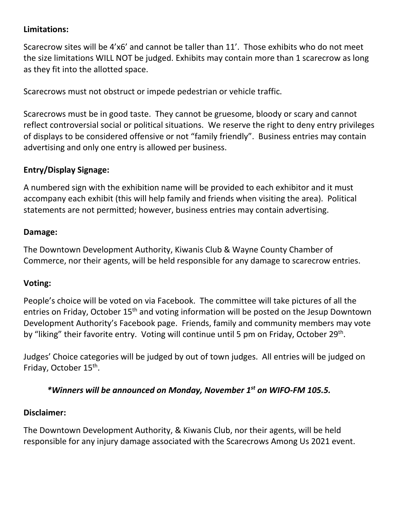# **Limitations:**

Scarecrow sites will be 4'x6' and cannot be taller than 11'. Those exhibits who do not meet the size limitations WILL NOT be judged. Exhibits may contain more than 1 scarecrow as long as they fit into the allotted space.

Scarecrows must not obstruct or impede pedestrian or vehicle traffic.

Scarecrows must be in good taste. They cannot be gruesome, bloody or scary and cannot reflect controversial social or political situations. We reserve the right to deny entry privileges of displays to be considered offensive or not "family friendly". Business entries may contain advertising and only one entry is allowed per business.

# **Entry/Display Signage:**

A numbered sign with the exhibition name will be provided to each exhibitor and it must accompany each exhibit (this will help family and friends when visiting the area). Political statements are not permitted; however, business entries may contain advertising.

#### **Damage:**

The Downtown Development Authority, Kiwanis Club & Wayne County Chamber of Commerce, nor their agents, will be held responsible for any damage to scarecrow entries.

#### **Voting:**

People's choice will be voted on via Facebook. The committee will take pictures of all the entries on Friday, October 15<sup>th</sup> and voting information will be posted on the Jesup Downtown Development Authority's Facebook page. Friends, family and community members may vote by "liking" their favorite entry. Voting will continue until 5 pm on Friday, October 29<sup>th</sup>.

Judges' Choice categories will be judged by out of town judges. All entries will be judged on Friday, October 15<sup>th</sup>.

# *\*Winners will be announced on Monday, November 1 st on WIFO-FM 105.5.*

#### **Disclaimer:**

The Downtown Development Authority, & Kiwanis Club, nor their agents, will be held responsible for any injury damage associated with the Scarecrows Among Us 2021 event.